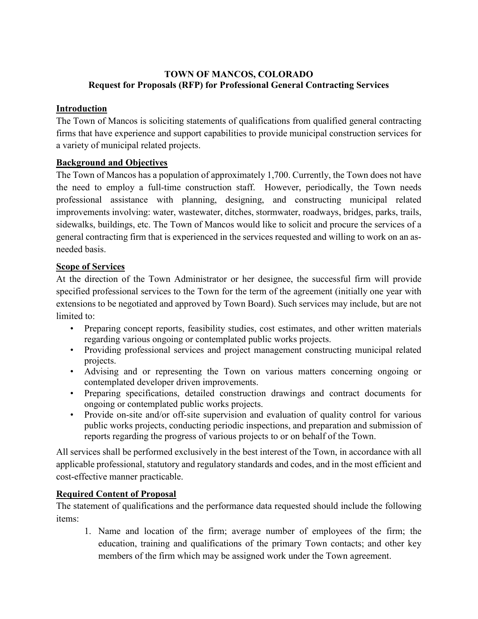# **TOWN OF MANCOS, COLORADO Request for Proposals (RFP) for Professional General Contracting Services**

## **Introduction**

The Town of Mancos is soliciting statements of qualifications from qualified general contracting firms that have experience and support capabilities to provide municipal construction services for a variety of municipal related projects.

# **Background and Objectives**

The Town of Mancos has a population of approximately 1,700. Currently, the Town does not have the need to employ a full-time construction staff. However, periodically, the Town needs professional assistance with planning, designing, and constructing municipal related improvements involving: water, wastewater, ditches, stormwater, roadways, bridges, parks, trails, sidewalks, buildings, etc. The Town of Mancos would like to solicit and procure the services of a general contracting firm that is experienced in the services requested and willing to work on an asneeded basis.

### **Scope of Services**

At the direction of the Town Administrator or her designee, the successful firm will provide specified professional services to the Town for the term of the agreement (initially one year with extensions to be negotiated and approved by Town Board). Such services may include, but are not limited to:

- Preparing concept reports, feasibility studies, cost estimates, and other written materials regarding various ongoing or contemplated public works projects.
- Providing professional services and project management constructing municipal related projects.
- Advising and or representing the Town on various matters concerning ongoing or contemplated developer driven improvements.
- Preparing specifications, detailed construction drawings and contract documents for ongoing or contemplated public works projects.
- Provide on-site and/or off-site supervision and evaluation of quality control for various public works projects, conducting periodic inspections, and preparation and submission of reports regarding the progress of various projects to or on behalf of the Town.

All services shall be performed exclusively in the best interest of the Town, in accordance with all applicable professional, statutory and regulatory standards and codes, and in the most efficient and cost-effective manner practicable.

# **Required Content of Proposal**

The statement of qualifications and the performance data requested should include the following items:

1. Name and location of the firm; average number of employees of the firm; the education, training and qualifications of the primary Town contacts; and other key members of the firm which may be assigned work under the Town agreement.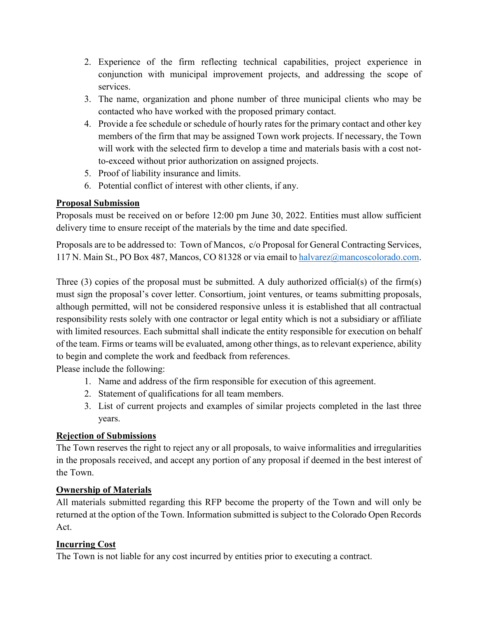- 2. Experience of the firm reflecting technical capabilities, project experience in conjunction with municipal improvement projects, and addressing the scope of services.
- 3. The name, organization and phone number of three municipal clients who may be contacted who have worked with the proposed primary contact.
- 4. Provide a fee schedule or schedule of hourly rates for the primary contact and other key members of the firm that may be assigned Town work projects. If necessary, the Town will work with the selected firm to develop a time and materials basis with a cost notto-exceed without prior authorization on assigned projects.
- 5. Proof of liability insurance and limits.
- 6. Potential conflict of interest with other clients, if any.

### **Proposal Submission**

Proposals must be received on or before 12:00 pm June 30, 2022. Entities must allow sufficient delivery time to ensure receipt of the materials by the time and date specified.

Proposals are to be addressed to: Town of Mancos, c/o Proposal for General Contracting Services, 117 N. Main St., PO Box 487, Mancos, CO 81328 or via email to [halvarez@mancoscolorado.com.](mailto:halvarez@mancoscolorado.com)

Three (3) copies of the proposal must be submitted. A duly authorized official(s) of the firm(s) must sign the proposal's cover letter. Consortium, joint ventures, or teams submitting proposals, although permitted, will not be considered responsive unless it is established that all contractual responsibility rests solely with one contractor or legal entity which is not a subsidiary or affiliate with limited resources. Each submittal shall indicate the entity responsible for execution on behalf of the team. Firms or teams will be evaluated, among other things, as to relevant experience, ability to begin and complete the work and feedback from references.

Please include the following:

- 1. Name and address of the firm responsible for execution of this agreement.
- 2. Statement of qualifications for all team members.
- 3. List of current projects and examples of similar projects completed in the last three years.

### **Rejection of Submissions**

The Town reserves the right to reject any or all proposals, to waive informalities and irregularities in the proposals received, and accept any portion of any proposal if deemed in the best interest of the Town.

### **Ownership of Materials**

All materials submitted regarding this RFP become the property of the Town and will only be returned at the option of the Town. Information submitted is subject to the Colorado Open Records Act.

### **Incurring Cost**

The Town is not liable for any cost incurred by entities prior to executing a contract.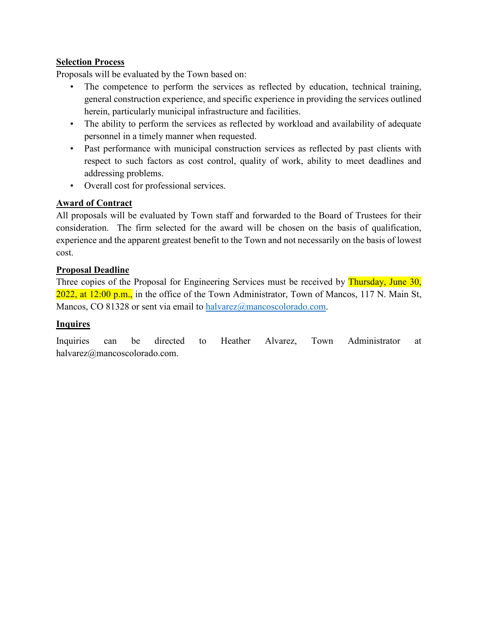### **Selection Process**

Proposals will be evaluated by the Town based on:

- The competence to perform the services as reflected by education, technical training, general construction experience, and specific experience in providing the services outlined herein, particularly municipal infrastructure and facilities.
- The ability to perform the services as reflected by workload and availability of adequate personnel in a timely manner when requested.
- Past performance with municipal construction services as reflected by past clients with respect to such factors as cost control, quality of work, ability to meet deadlines and addressing problems.
- Overall cost for professional services.

### **Award of Contract**

All proposals will be evaluated by Town staff and forwarded to the Board of Trustees for their consideration. The firm selected for the award will be chosen on the basis of qualification, experience and the apparent greatest benefit to the Town and not necessarily on the basis of lowest cost.

### **Proposal Deadline**

Three copies of the Proposal for Engineering Services must be received by Thursday, June 30, 2022, at 12:00 p.m., in the office of the Town Administrator, Town of Mancos, 117 N. Main St, Mancos, CO 81328 or sent via email to [halvarez@mancoscolorado.com.](mailto:halvarez@mancoscolorado.com)

### **Inquires**

Inquiries can be directed to Heather Alvarez, Town Administrator at halvarez@mancoscolorado.com.